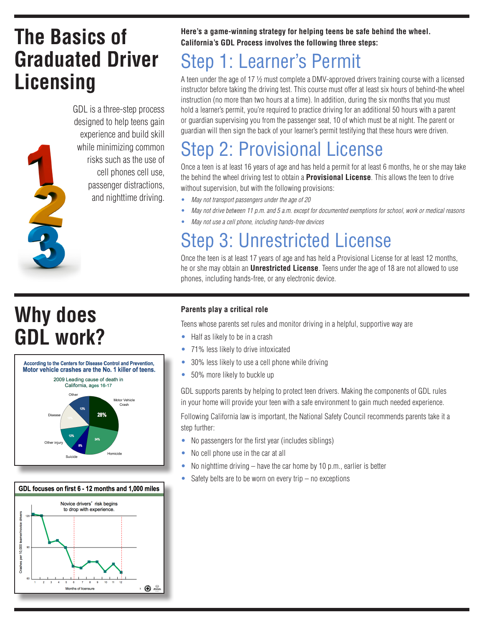# **The Basics of Graduated Driver Licensing**

GDL is a three-step process designed to help teens gain experience and build skill while minimizing common risks such as the use of cell phones cell use, passenger distractions, and nighttime driving.

**Here's a game-winning strategy for helping teens be safe behind the wheel. California's GDL Process involves the following three steps:**

## Step 1: Learner's Permit

A teen under the age of 17 ½ must complete a DMV-approved drivers training course with a licensed instructor before taking the driving test. This course must offer at least six hours of behind-the wheel instruction (no more than two hours at a time). In addition, during the six months that you must hold a learner's permit, you're required to practice driving for an additional 50 hours with a parent or guardian supervising you from the passenger seat, 10 of which must be at night. The parent or guardian will then sign the back of your learner's permit testifying that these hours were driven.

# Step 2: Provisional License

Once a teen is at least 16 years of age and has held a permit for at least 6 months, he or she may take the behind the wheel driving test to obtain a **Provisional License**. This allows the teen to drive without supervision, but with the following provisions:

- *May not transport passengers under the age of 20*
- *May not drive between 11 p.m. and 5 a.m. except for documented exemptions for school, work or medical reasons*
- *May not use a cell phone, including hands-free devices*

### Step 3: Unrestricted License

Once the teen is at least 17 years of age and has held a Provisional License for at least 12 months, he or she may obtain an **Unrestricted License**. Teens under the age of 18 are not allowed to use phones, including hands-free, or any electronic device.

# **Why does GDL work?**

525





#### **Parents play a critical role**

Teens whose parents set rules and monitor driving in a helpful, supportive way are

- Half as likely to be in a crash
- 71% less likely to drive intoxicated
- 30% less likely to use a cell phone while driving
- 50% more likely to buckle up

GDL supports parents by helping to protect teen drivers. Making the components of GDL rules in your home will provide your teen with a safe environment to gain much needed experience.

Following California law is important, the National Safety Council recommends parents take it a step further:

- No passengers for the first year (includes siblings)
- No cell phone use in the car at all
- No nighttime driving  $-$  have the car home by 10 p.m., earlier is better
- Safety belts are to be worn on every trip  $-$  no exceptions